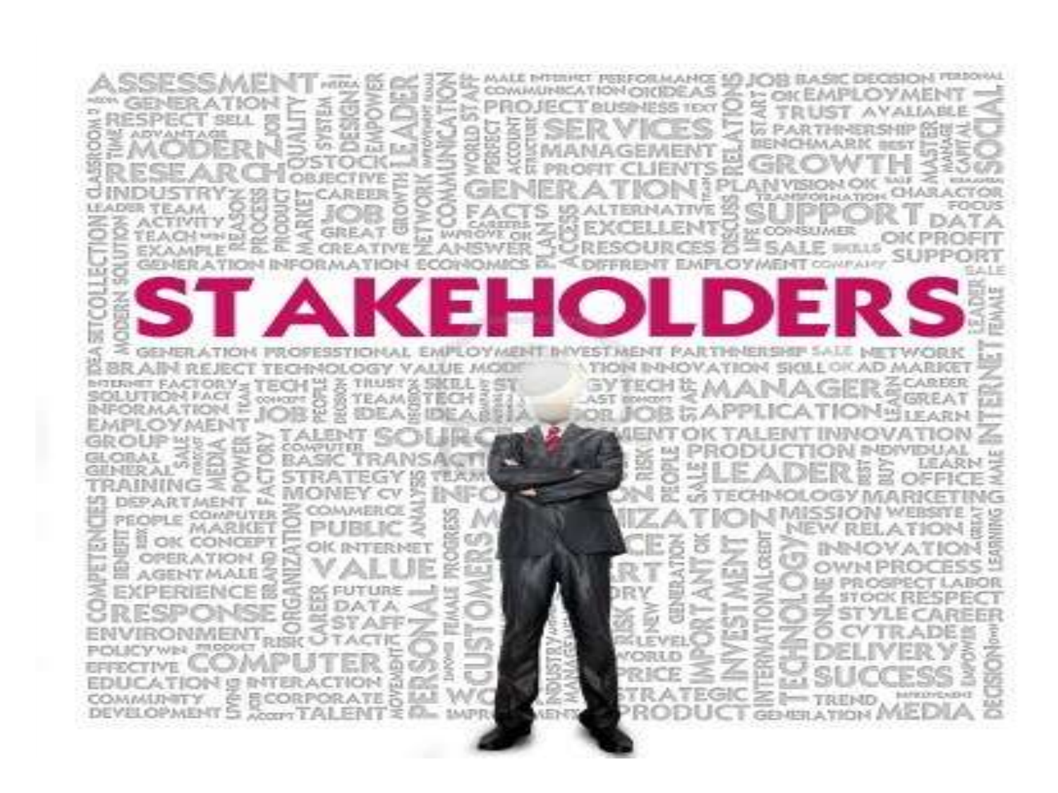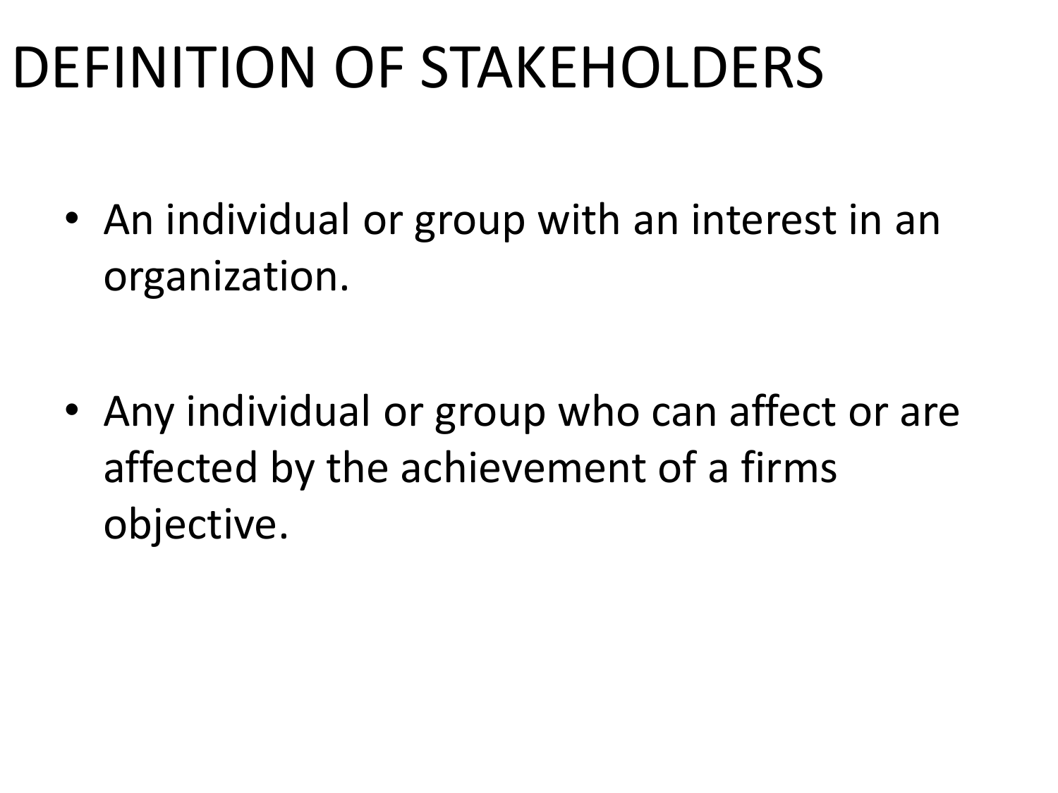## DEFINITION OF STAKEHOLDERS

• An individual or group with an interest in an organization.

• Any individual or group who can affect or are affected by the achievement of a firms objective.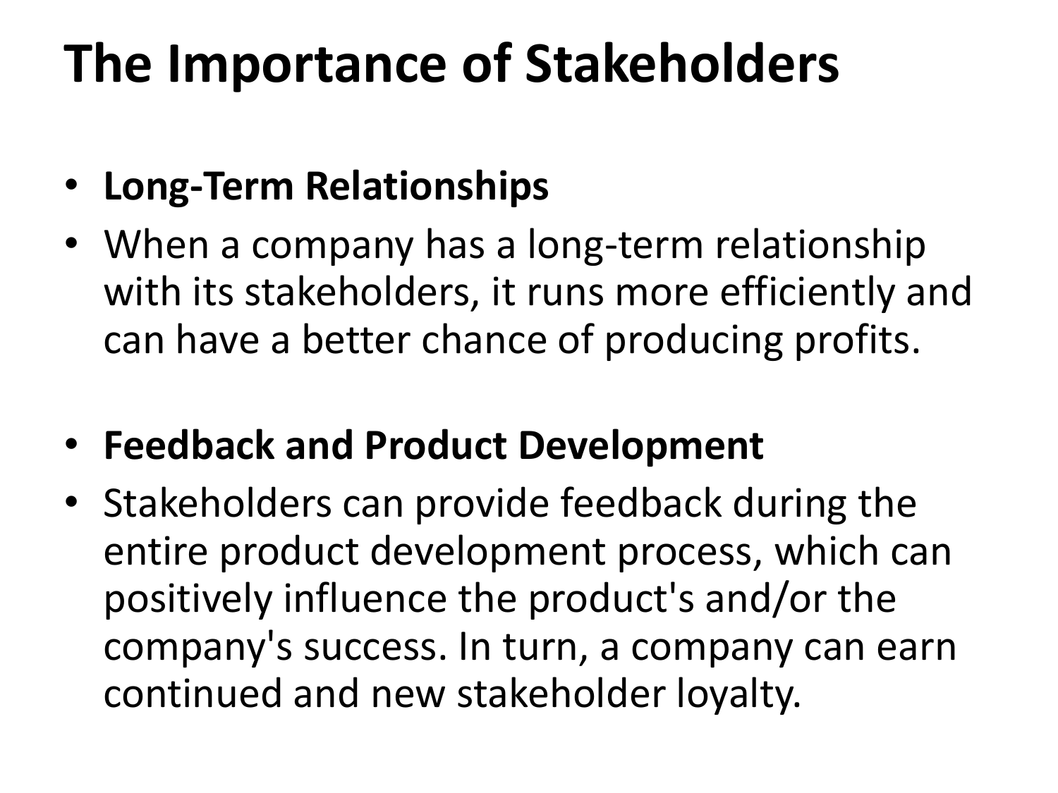### **The Importance of Stakeholders**

#### • **Long-Term Relationships**

- When a company has a long-term relationship with its stakeholders, it runs more efficiently and can have a better chance of producing profits.
- **Feedback and Product Development**
- Stakeholders can provide feedback during the entire product development process, which can positively influence the product's and/or the company's success. In turn, a company can earn continued and new stakeholder loyalty.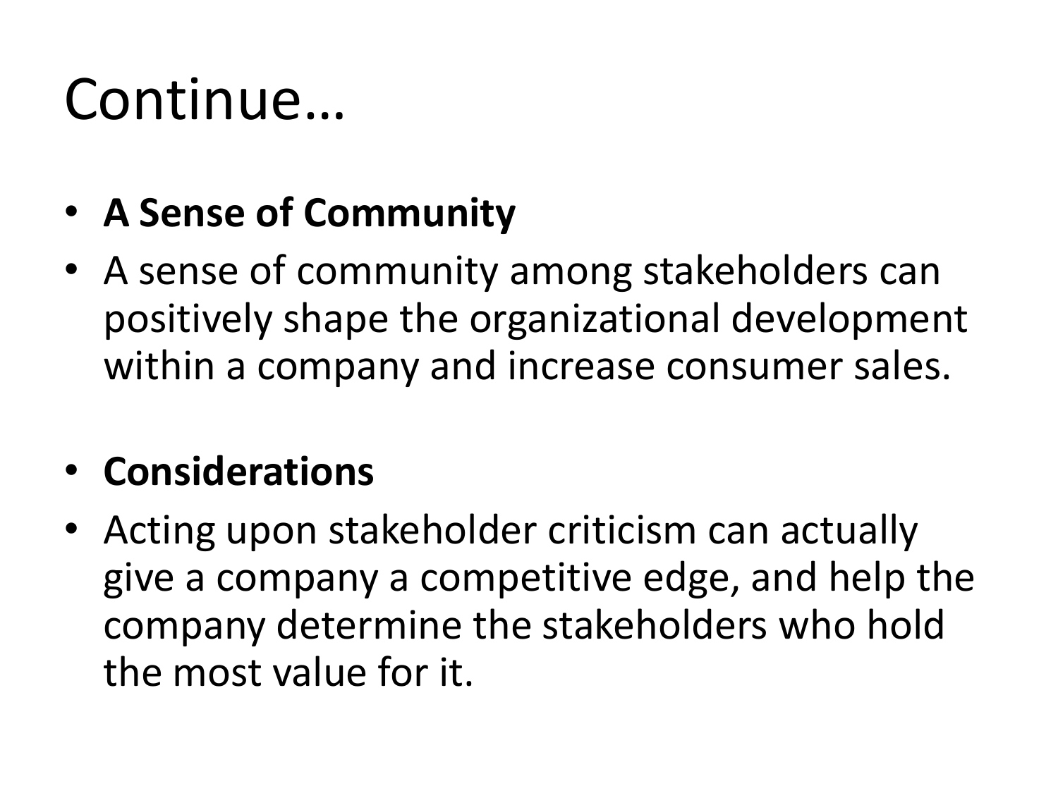### Continue…

#### • **A Sense of Community**

• A sense of community among stakeholders can positively shape the organizational development within a company and increase consumer sales.

#### • **Considerations**

• Acting upon stakeholder criticism can actually give a company a competitive edge, and help the company determine the stakeholders who hold the most value for it.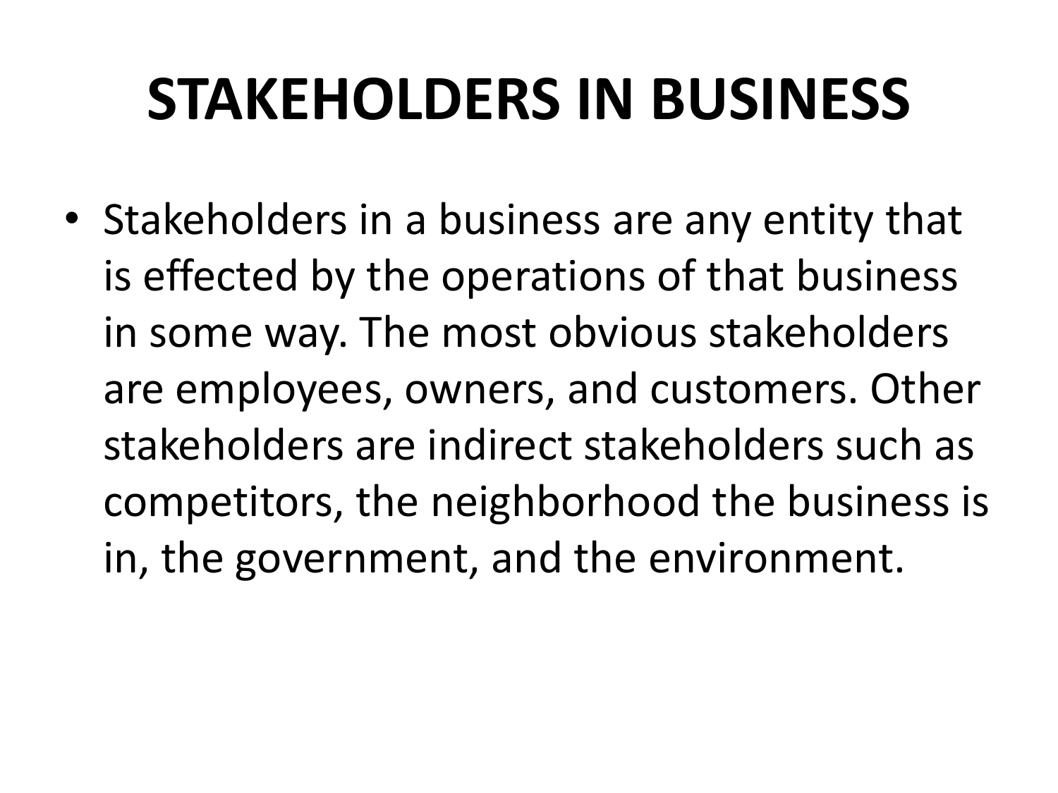## **STAKEHOLDERS IN BUSINESS**

• Stakeholders in a business are any entity that is effected by the operations of that business in some way. The most obvious stakeholders are employees, owners, and customers. Other stakeholders are indirect stakeholders such as competitors, the neighborhood the business is in, the government, and the environment.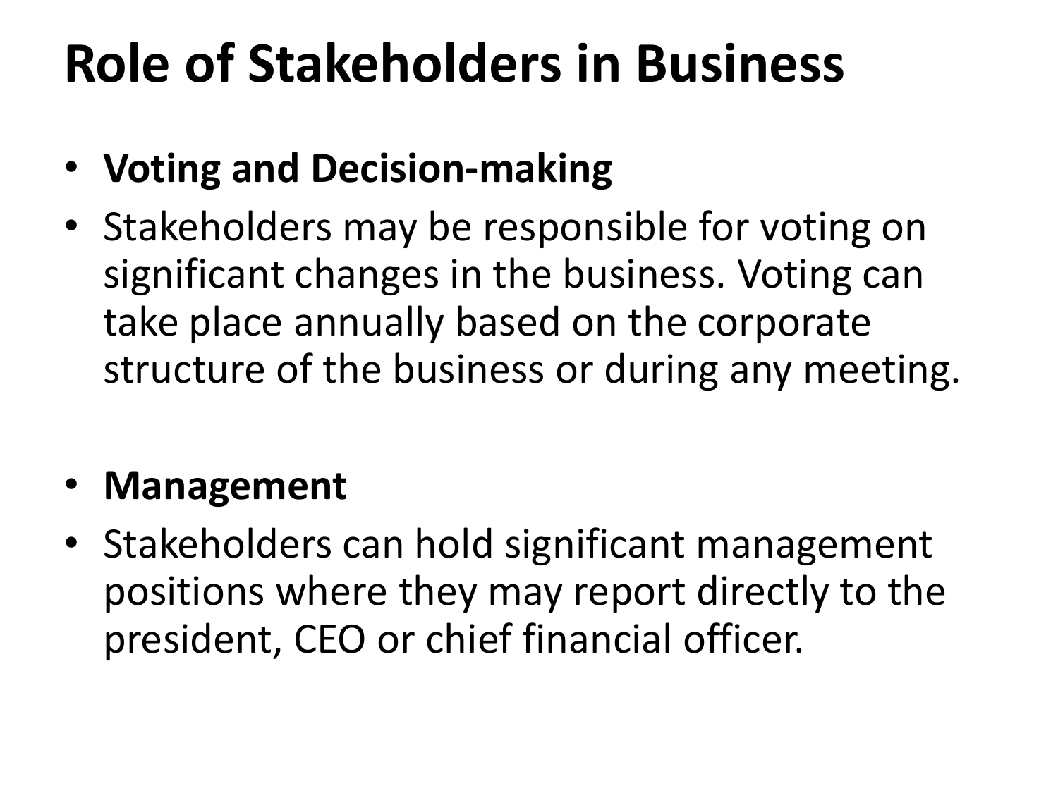### **Role of Stakeholders in Business**

- **Voting and Decision-making**
- Stakeholders may be responsible for voting on significant changes in the business. Voting can take place annually based on the corporate structure of the business or during any meeting.

#### • **Management**

• Stakeholders can hold significant management positions where they may report directly to the president, CEO or chief financial officer.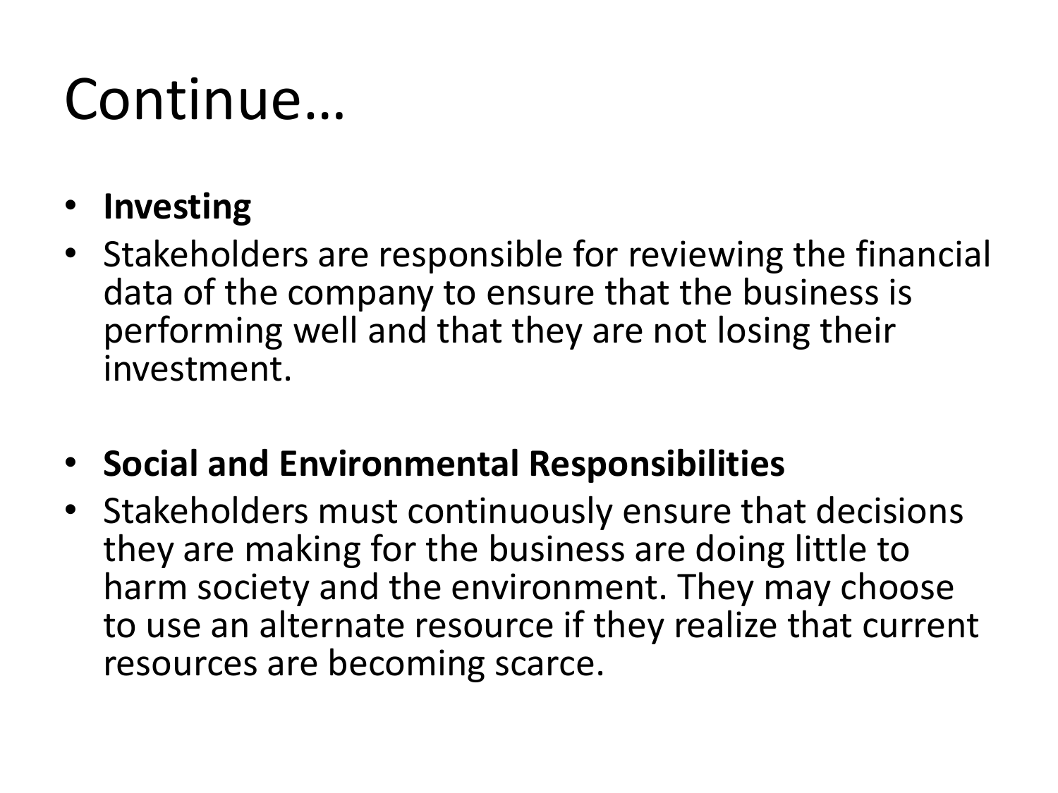## Continue…

- **Investing**
- Stakeholders are responsible for reviewing the financial data of the company to ensure that the business is performing well and that they are not losing their investment.
- **Social and Environmental Responsibilities**
- Stakeholders must continuously ensure that decisions they are making for the business are doing little to harm society and the environment. They may choose to use an alternate resource if they realize that current resources are becoming scarce.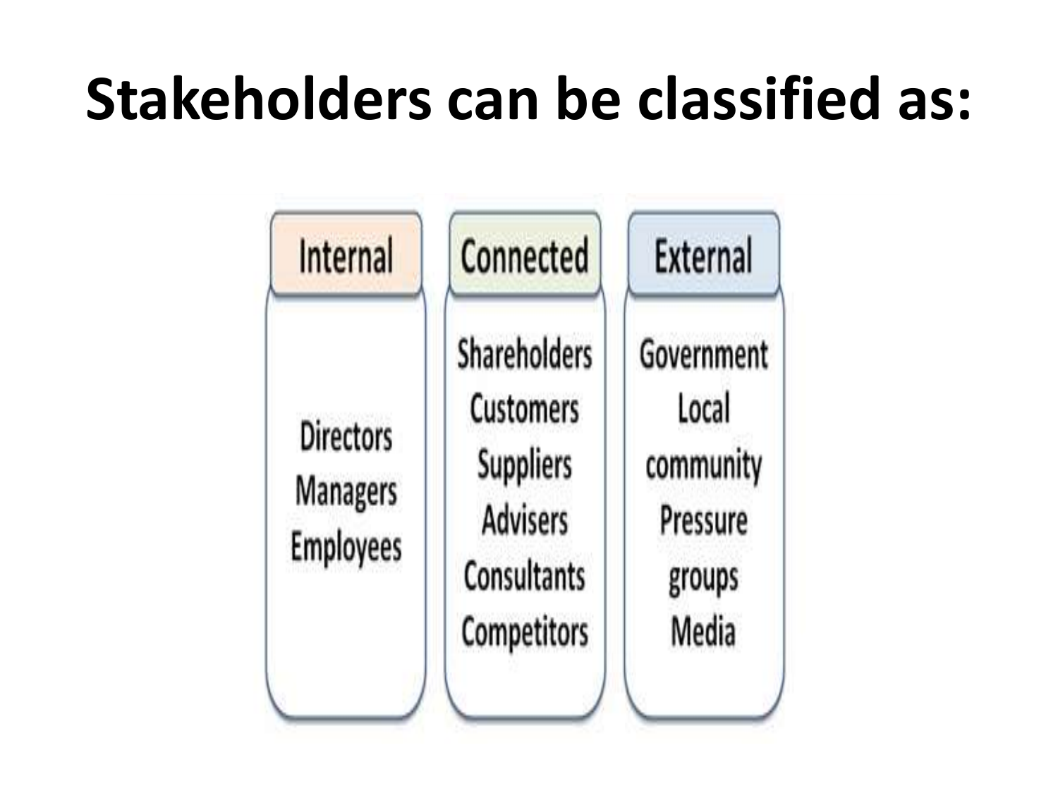## **Stakeholders can be classified as:**

| Internal                                                | Connected                                                                                                    | <b>External</b>                                                 |
|---------------------------------------------------------|--------------------------------------------------------------------------------------------------------------|-----------------------------------------------------------------|
| <b>Directors</b><br><b>Managers</b><br><b>Employees</b> | Shareholders<br><b>Customers</b><br><b>Suppliers</b><br><b>Advisers</b><br>Consultants<br><b>Competitors</b> | Government<br>Local<br>community<br>Pressure<br>groups<br>Media |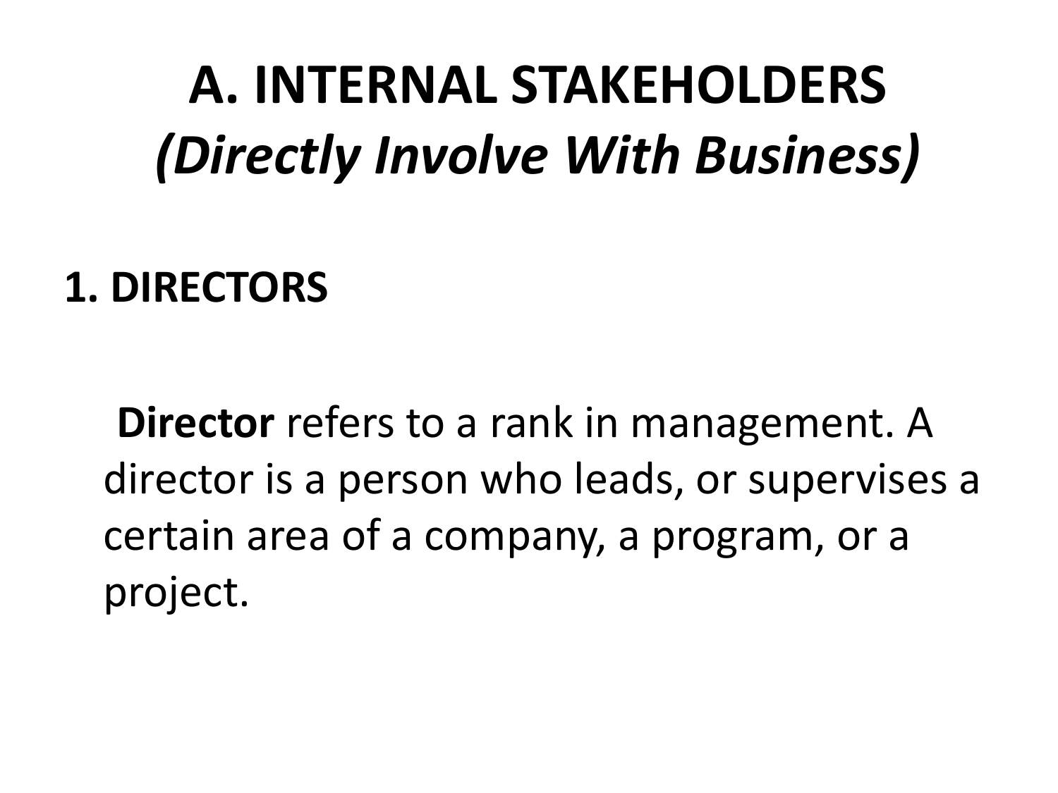## **A. INTERNAL STAKEHOLDERS** *(Directly Involve With Business)*

#### **1. DIRECTORS**

**Director** refers to a rank in management. A director is a person who leads, or supervises a certain area of a company, a program, or a project.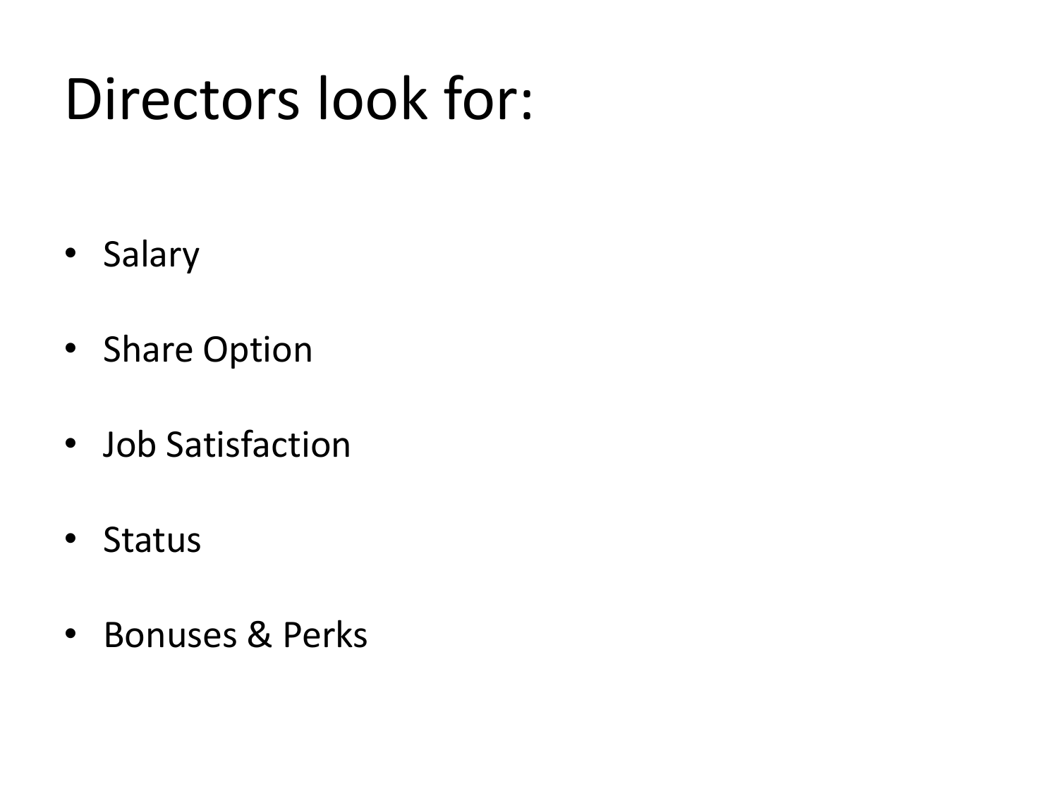## Directors look for:

- Salary
- Share Option
- Job Satisfaction
- Status
- Bonuses & Perks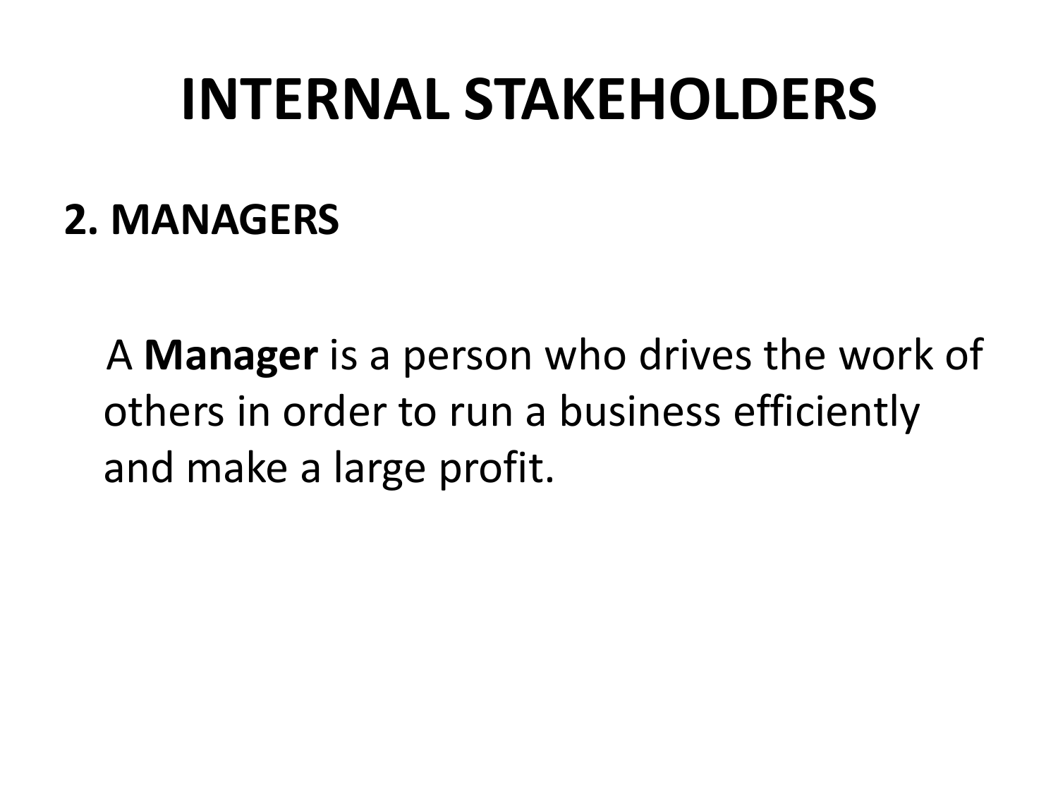### **INTERNAL STAKEHOLDERS**

#### **2. MANAGERS**

A **Manager** is a person who drives the work of others in order to run a business efficiently and make a large profit.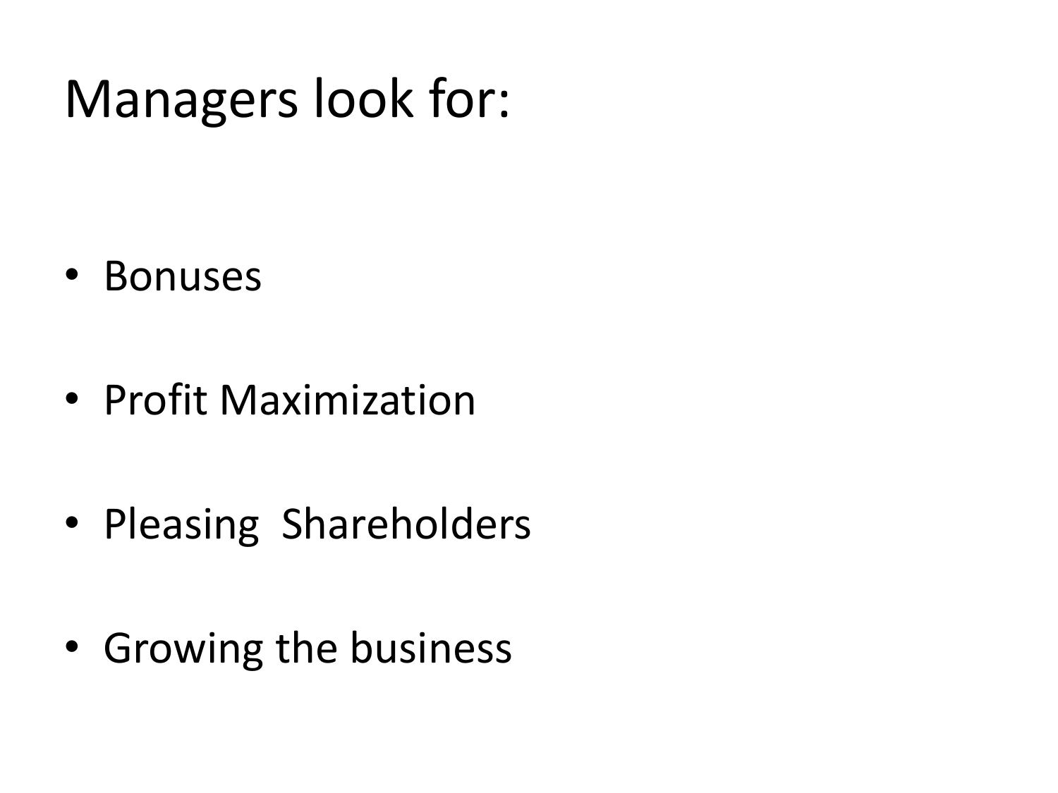### Managers look for:

- Bonuses
- Profit Maximization
- Pleasing Shareholders
- Growing the business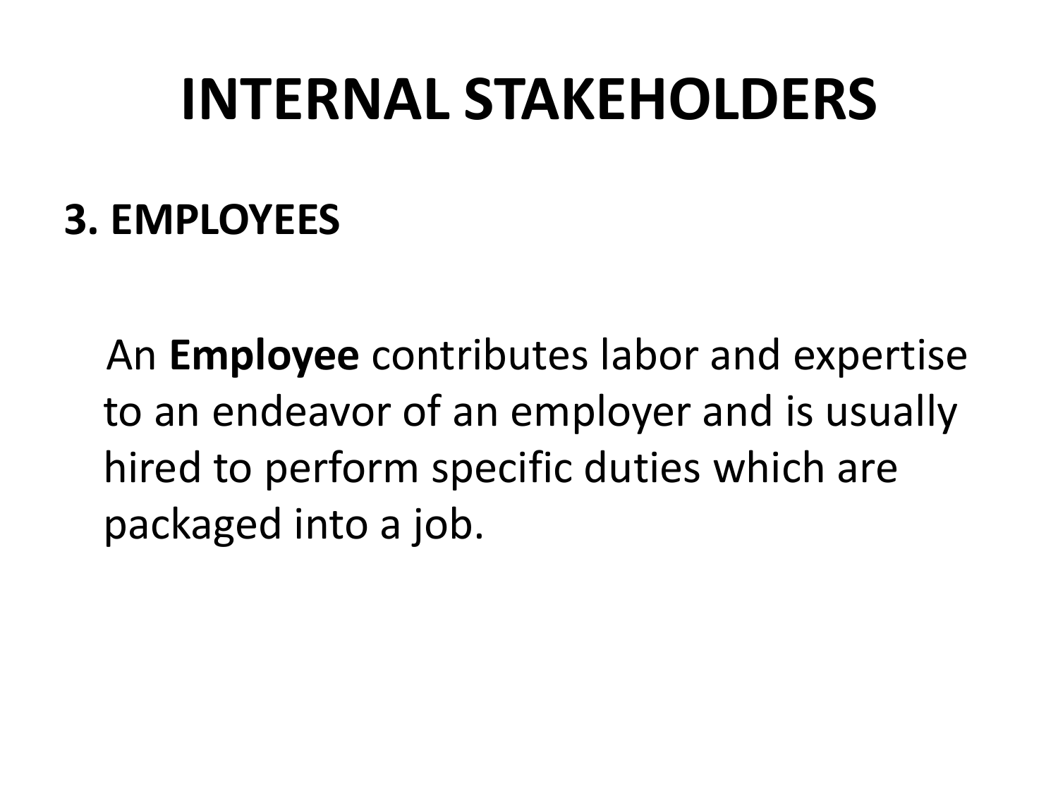### **INTERNAL STAKEHOLDERS**

#### **3. EMPLOYEES**

An **Employee** contributes labor and expertise to an endeavor of an employer and is usually hired to perform specific duties which are packaged into a job.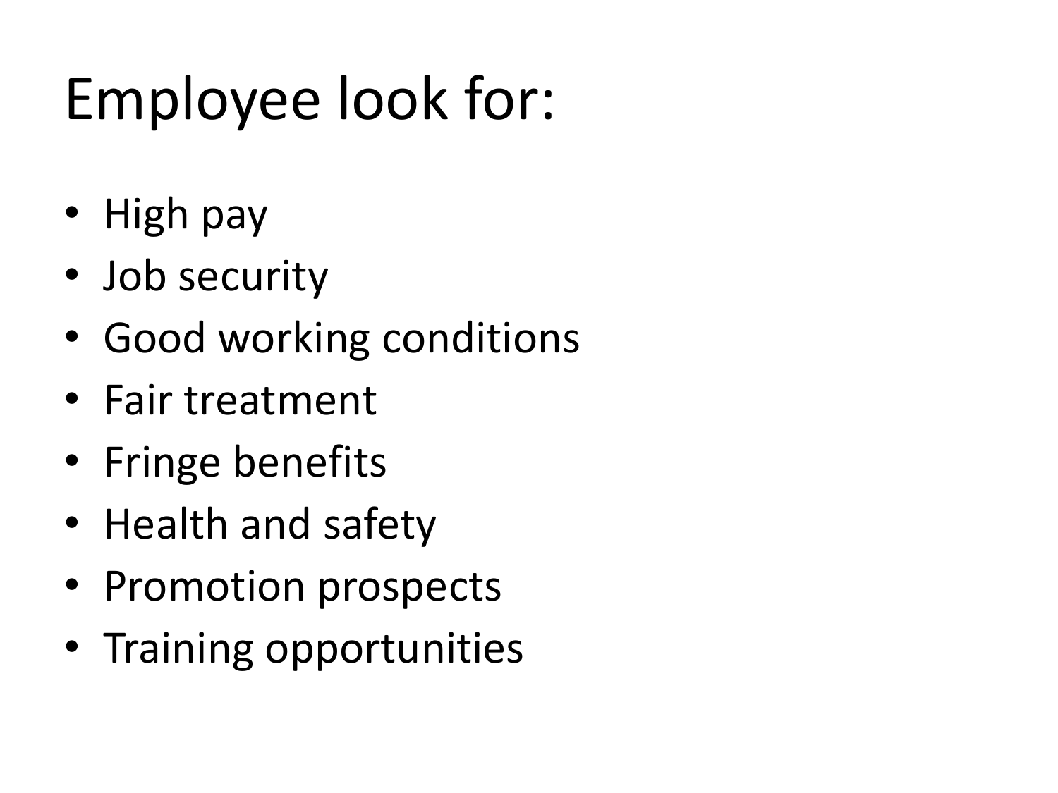## Employee look for:

- High pay
- Job security
- Good working conditions
- Fair treatment
- Fringe benefits
- Health and safety
- Promotion prospects
- Training opportunities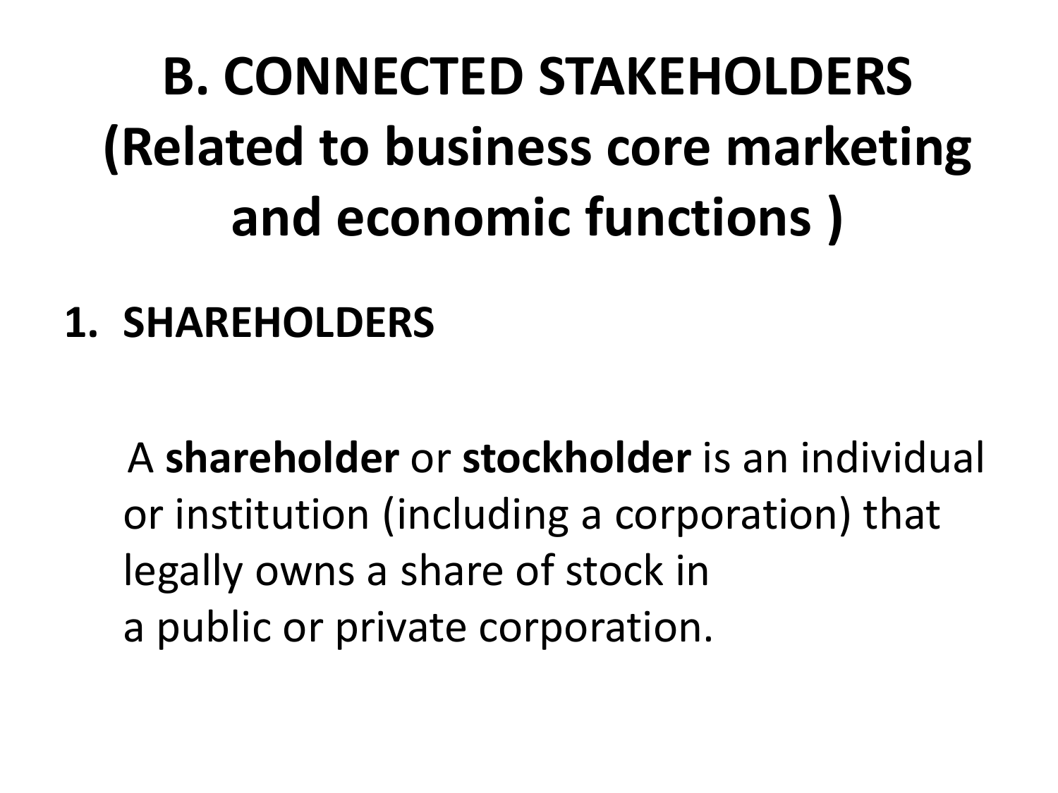## **B. CONNECTED STAKEHOLDERS (Related to business core marketing and economic functions )**

#### **1. SHAREHOLDERS**

A **shareholder** or **stockholder** is an individual or institution (including a corporation) that legally owns a share of stock in a public or private corporation.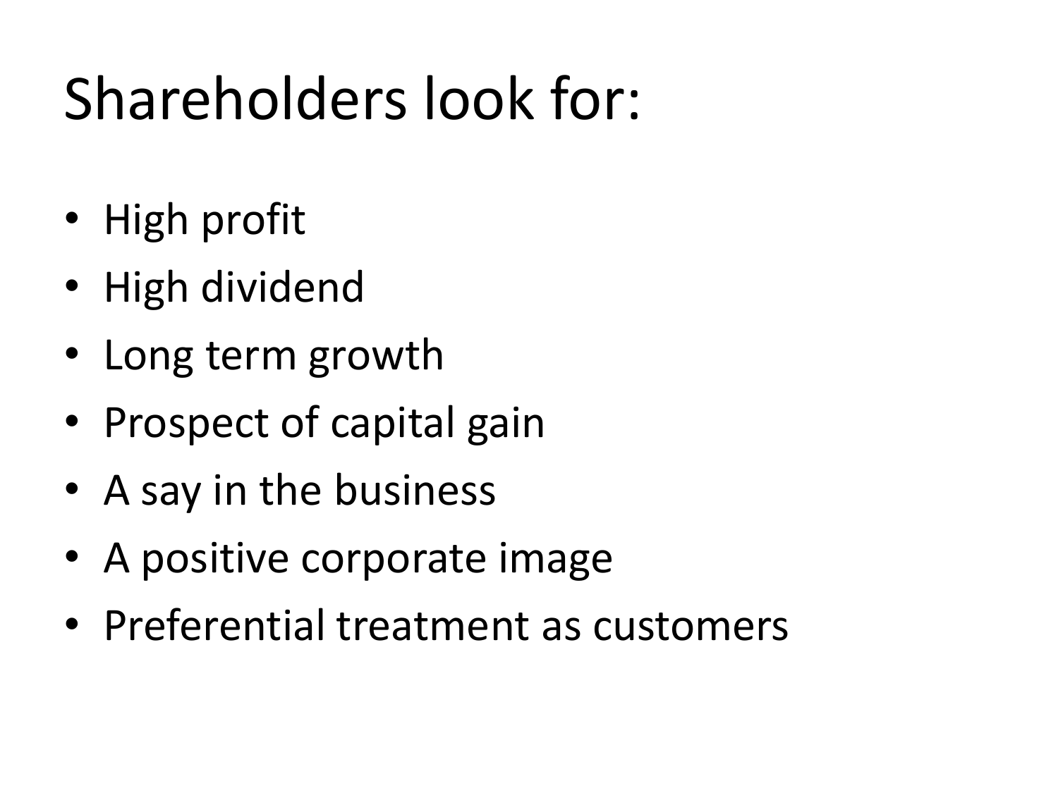## Shareholders look for:

- High profit
- High dividend
- Long term growth
- Prospect of capital gain
- A say in the business
- A positive corporate image
- Preferential treatment as customers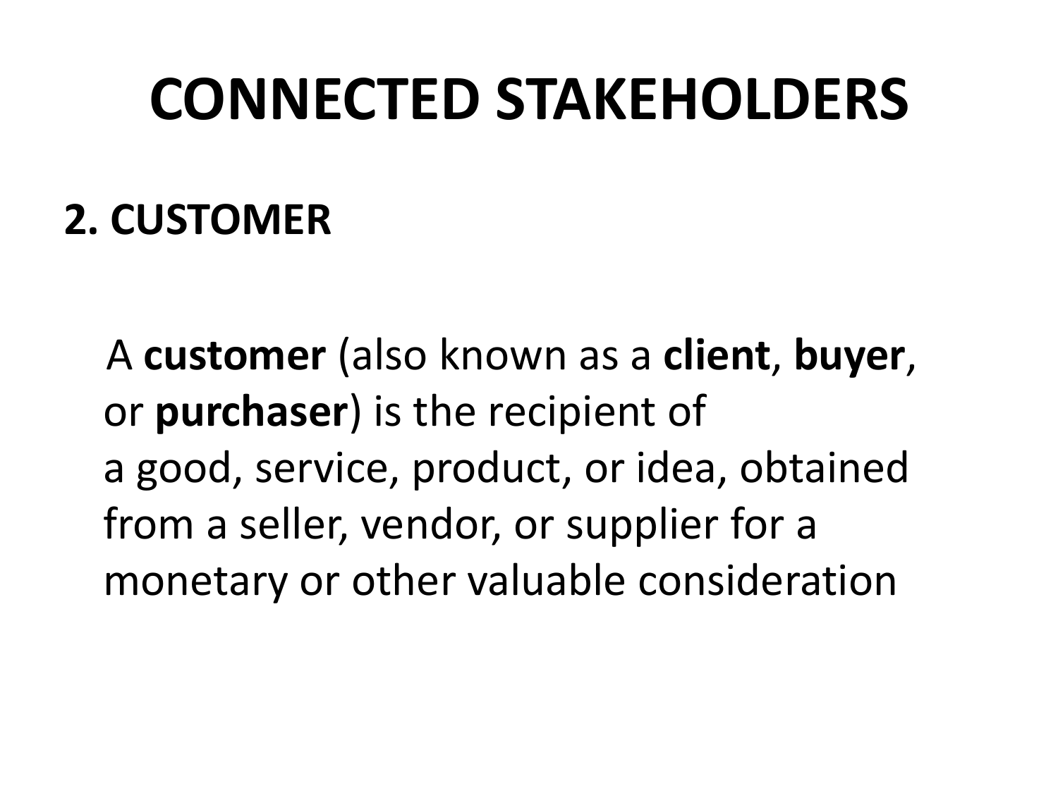### **CONNECTED STAKEHOLDERS**

### **2. CUSTOMER**

A **customer** (also known as a **client**, **buyer**, or **purchaser**) is the recipient of a good, service, product, or idea, obtained from a seller, vendor, or supplier for a monetary or other valuable consideration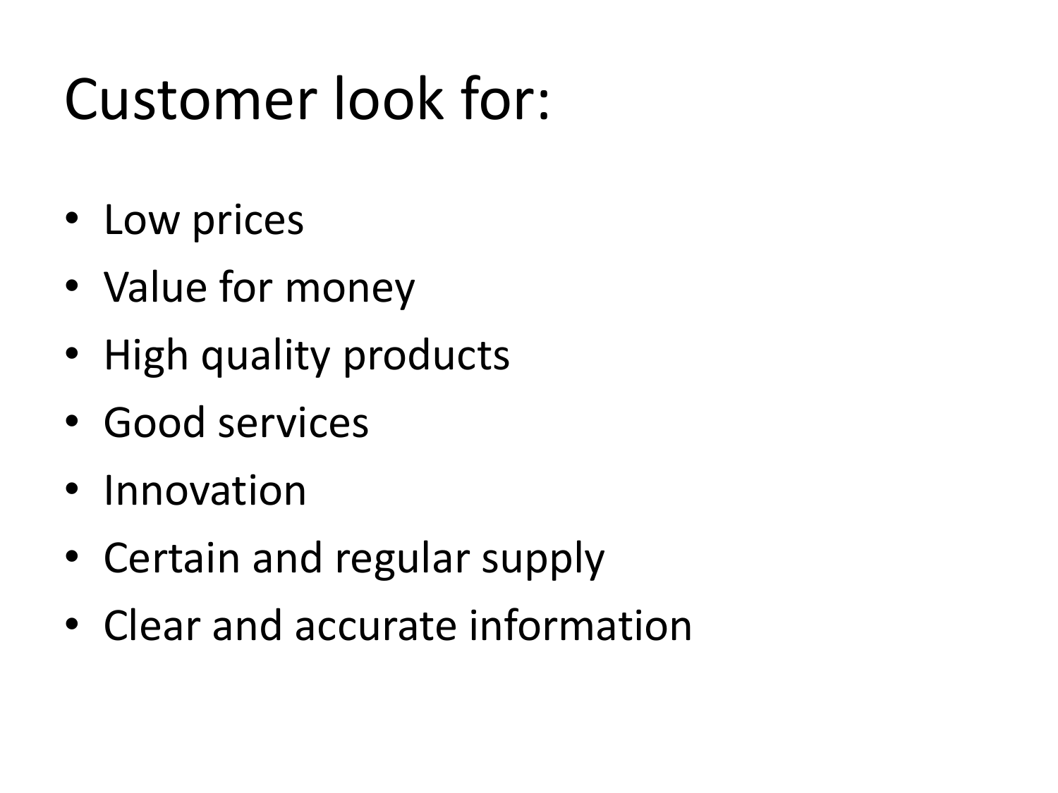## Customer look for:

- Low prices
- Value for money
- High quality products
- Good services
- Innovation
- Certain and regular supply
- Clear and accurate information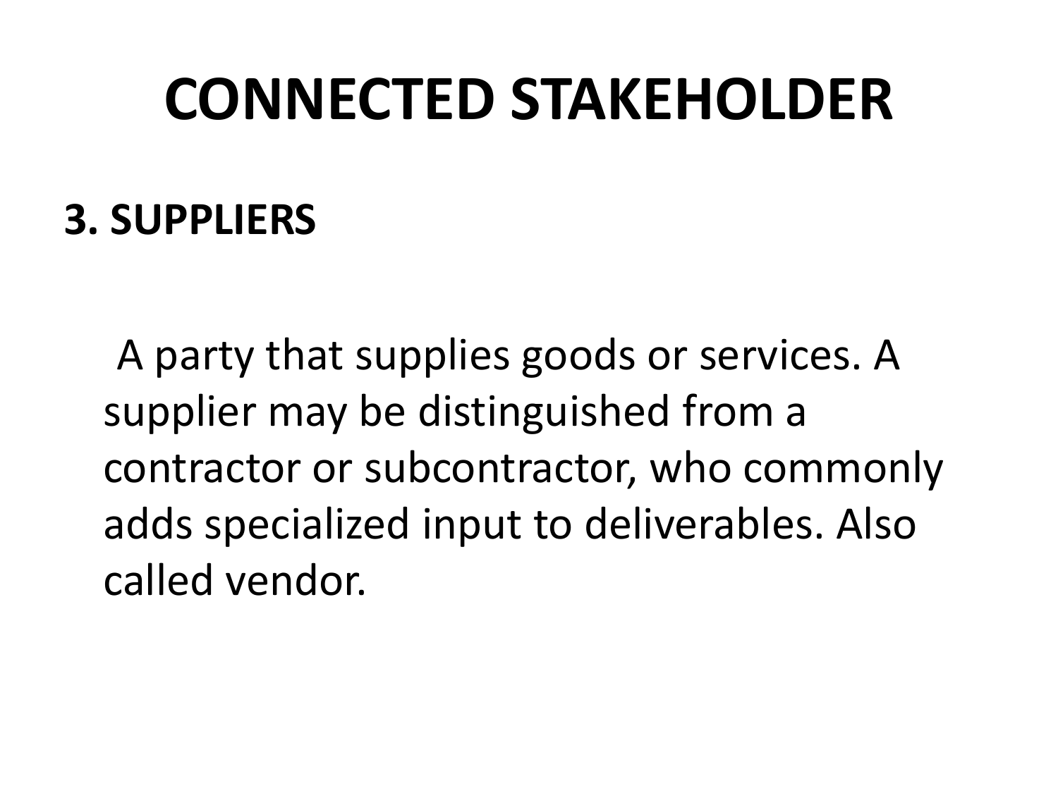### **CONNECTED STAKEHOLDER**

#### **3. SUPPLIERS**

A party that supplies goods or services. A supplier may be distinguished from a contractor or subcontractor, who commonly adds specialized input to deliverables. Also called vendor.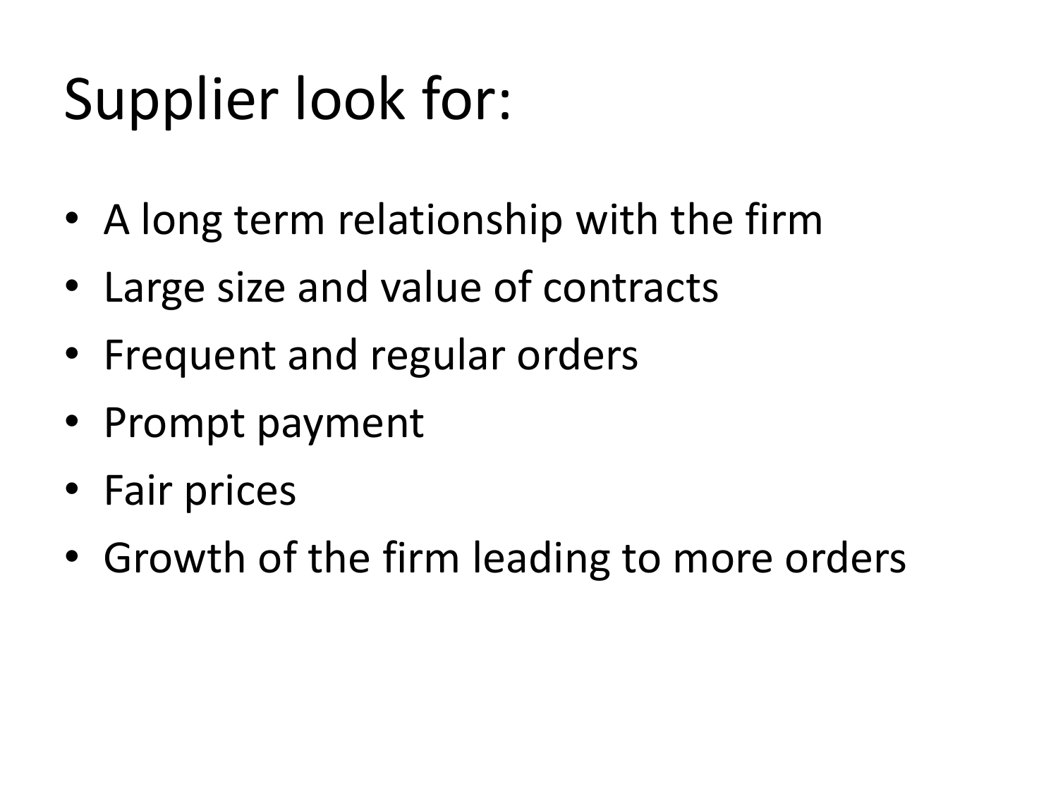## Supplier look for:

- A long term relationship with the firm
- Large size and value of contracts
- Frequent and regular orders
- Prompt payment
- Fair prices
- Growth of the firm leading to more orders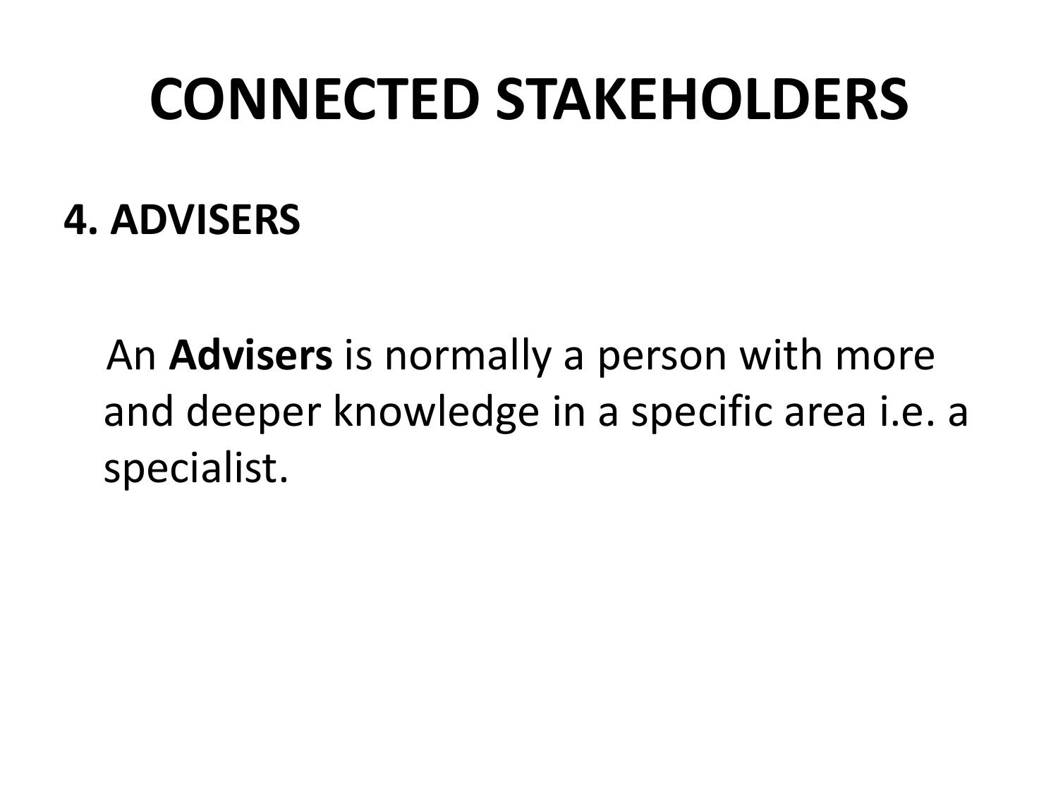### **CONNECTED STAKEHOLDERS**

#### **4. ADVISERS**

An **Advisers** is normally a person with more and deeper knowledge in a specific area i.e. a specialist.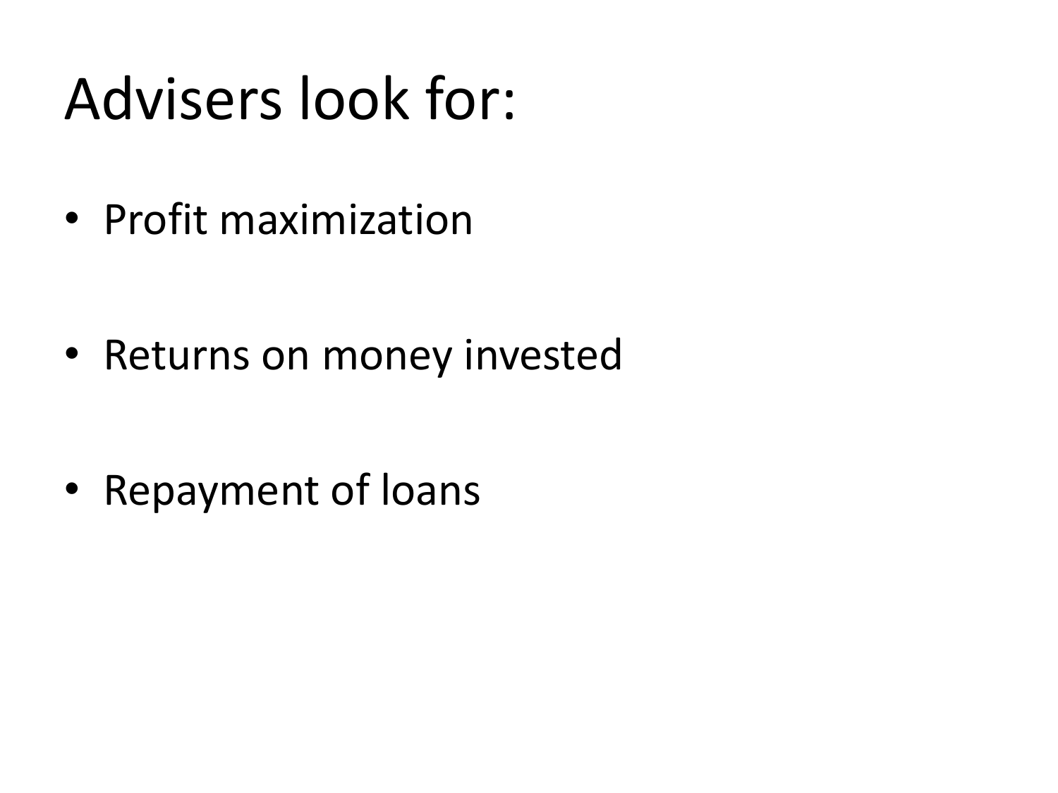## Advisers look for:

• Profit maximization

• Returns on money invested

• Repayment of loans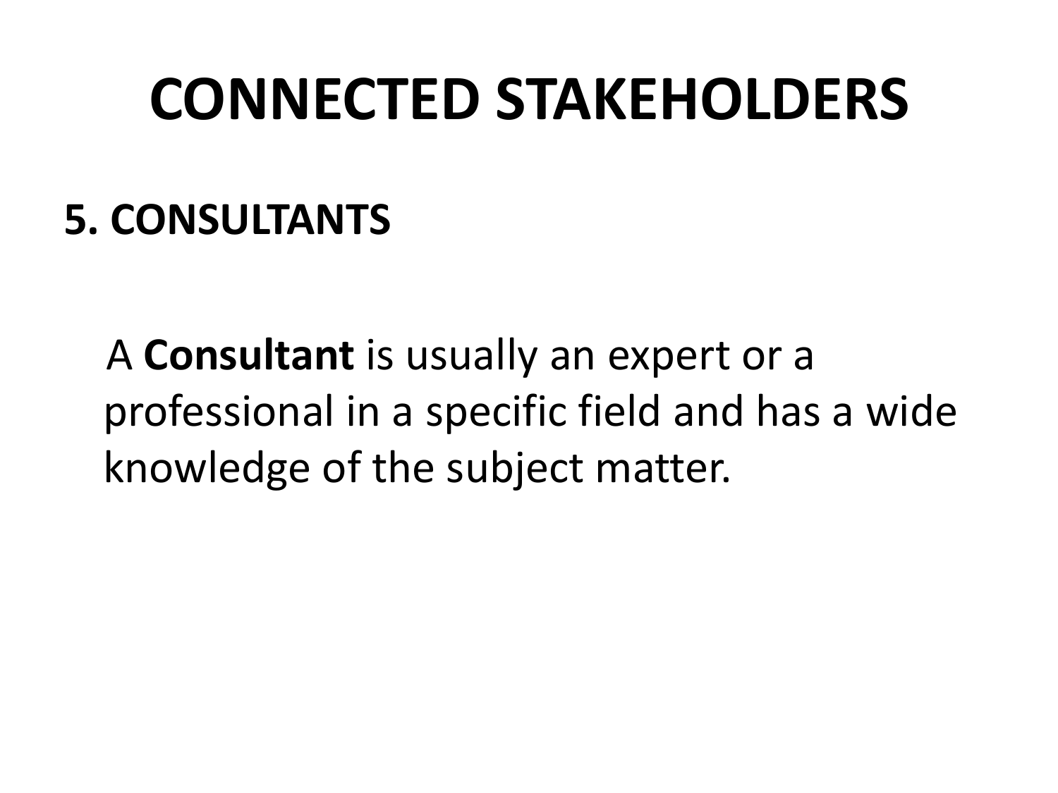### **CONNECTED STAKEHOLDERS**

#### **5. CONSULTANTS**

A **Consultant** is usually an expert or a professional in a specific field and has a wide knowledge of the subject matter.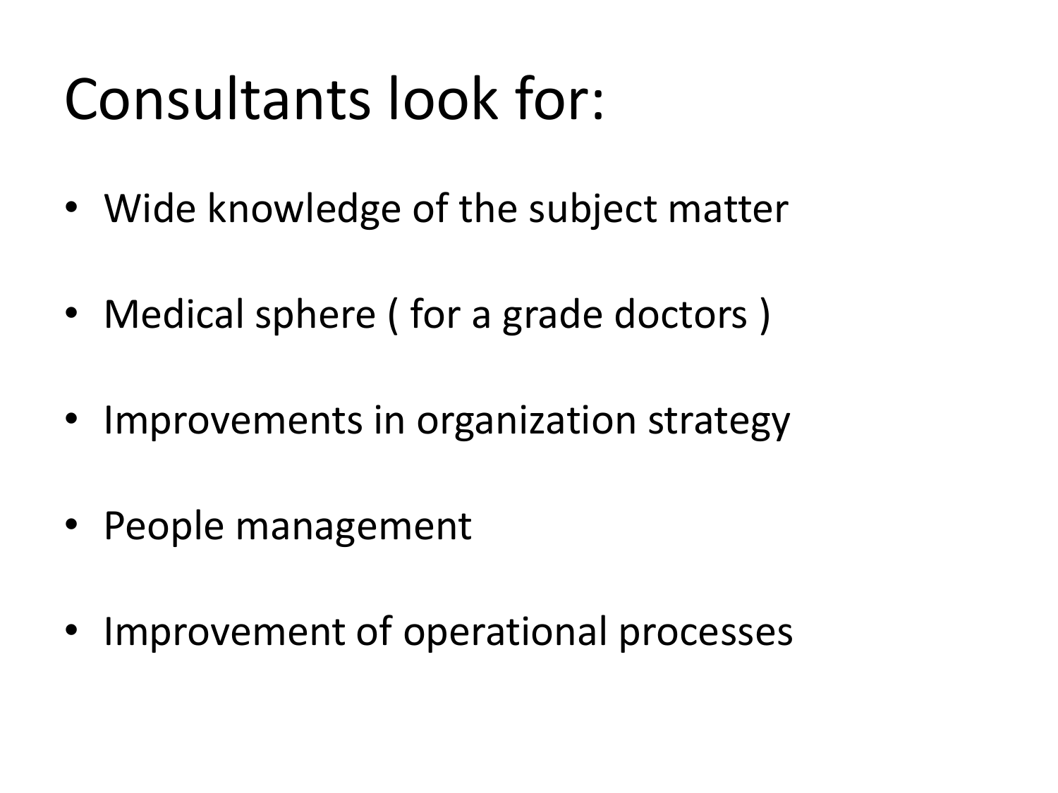## Consultants look for:

- Wide knowledge of the subject matter
- Medical sphere ( for a grade doctors )
- Improvements in organization strategy
- People management
- Improvement of operational processes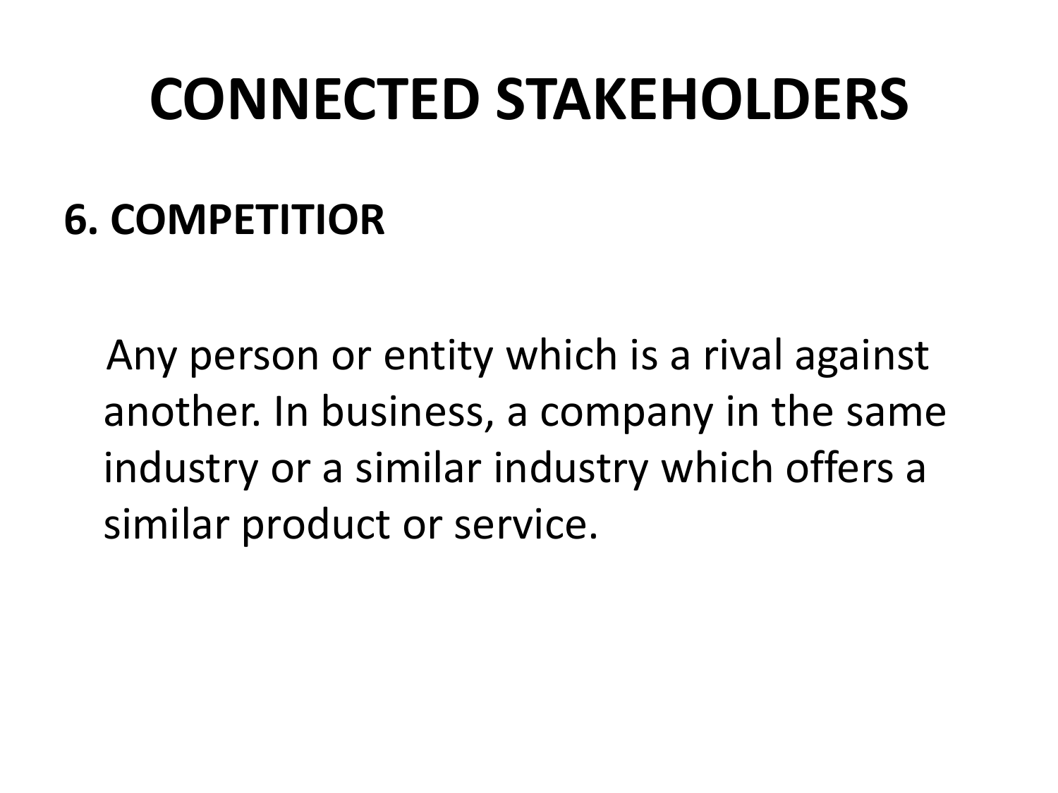### **CONNECTED STAKEHOLDERS**

#### **6. COMPETITIOR**

Any person or entity which is a rival against another. In business, a company in the same industry or a similar industry which offers a similar product or service.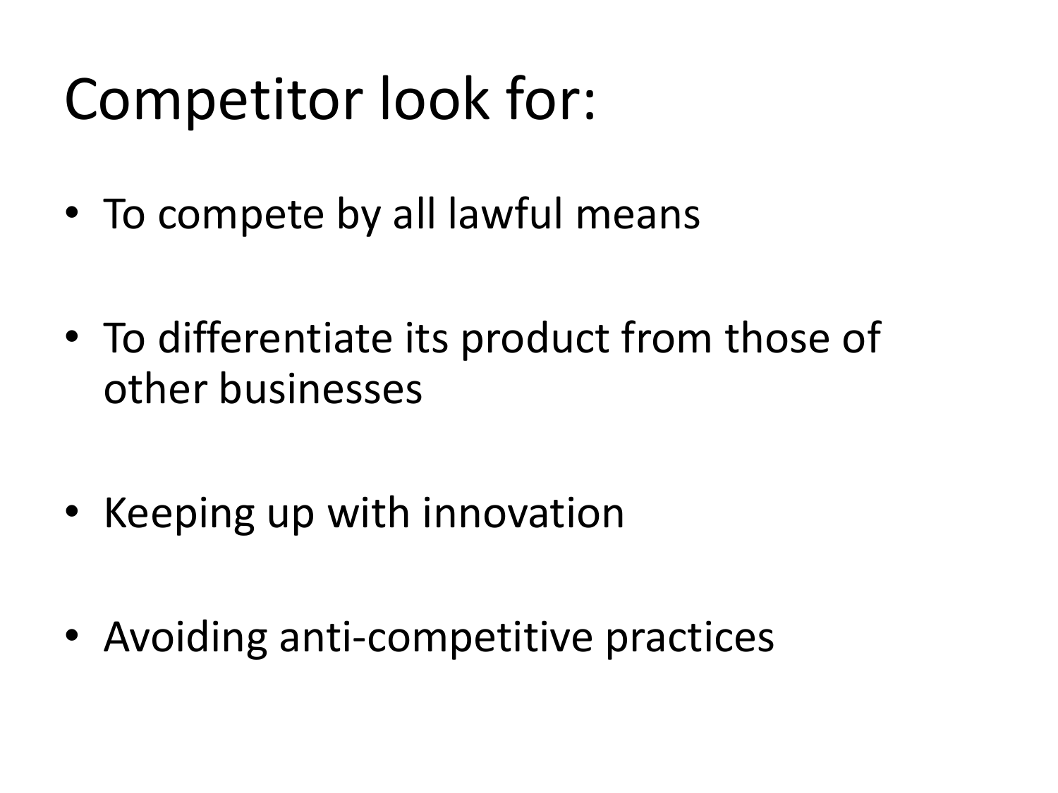## Competitor look for:

- To compete by all lawful means
- To differentiate its product from those of other businesses
- Keeping up with innovation
- Avoiding anti-competitive practices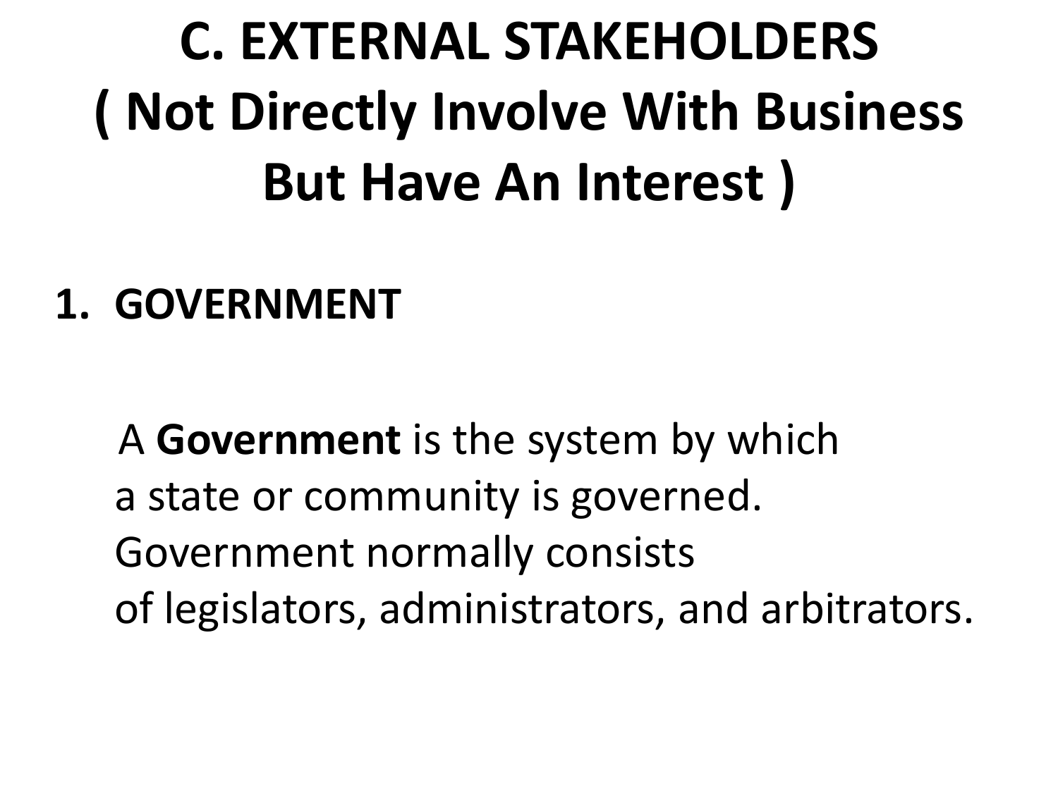## **C. EXTERNAL STAKEHOLDERS ( Not Directly Involve With Business But Have An Interest )**

#### **1. GOVERNMENT**

A **Government** is the system by which a state or community is governed. Government normally consists of legislators, administrators, and arbitrators.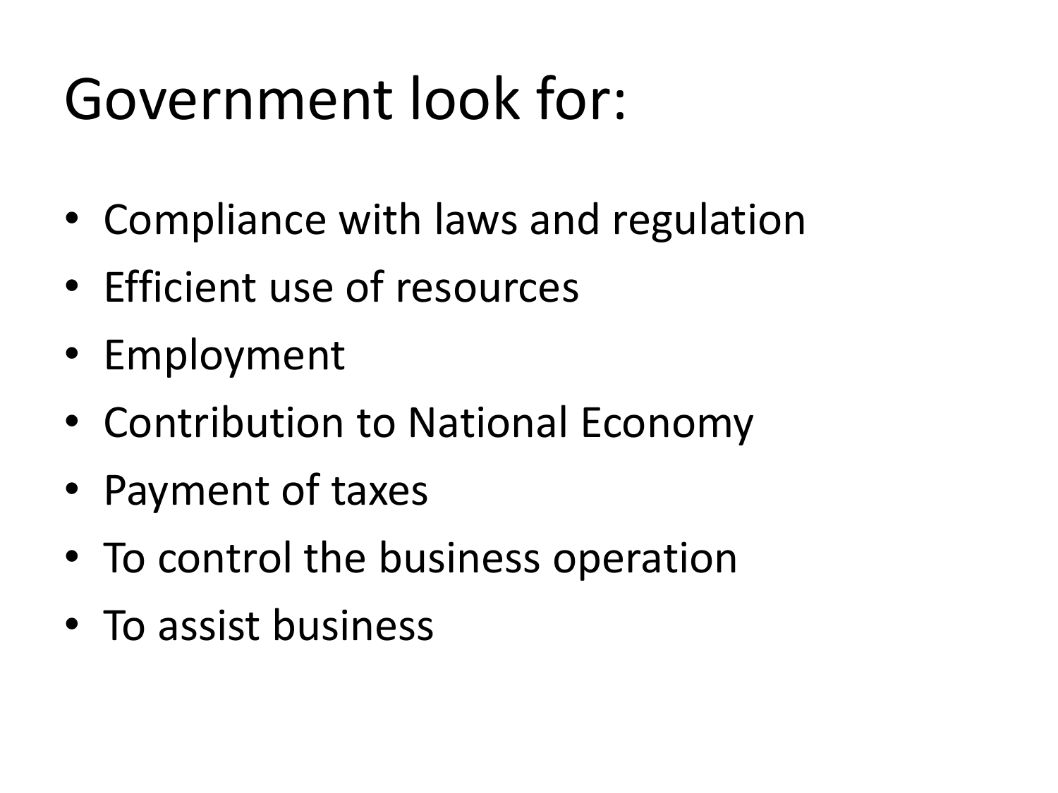## Government look for:

- Compliance with laws and regulation
- Efficient use of resources
- Employment
- Contribution to National Economy
- Payment of taxes
- To control the business operation
- To assist business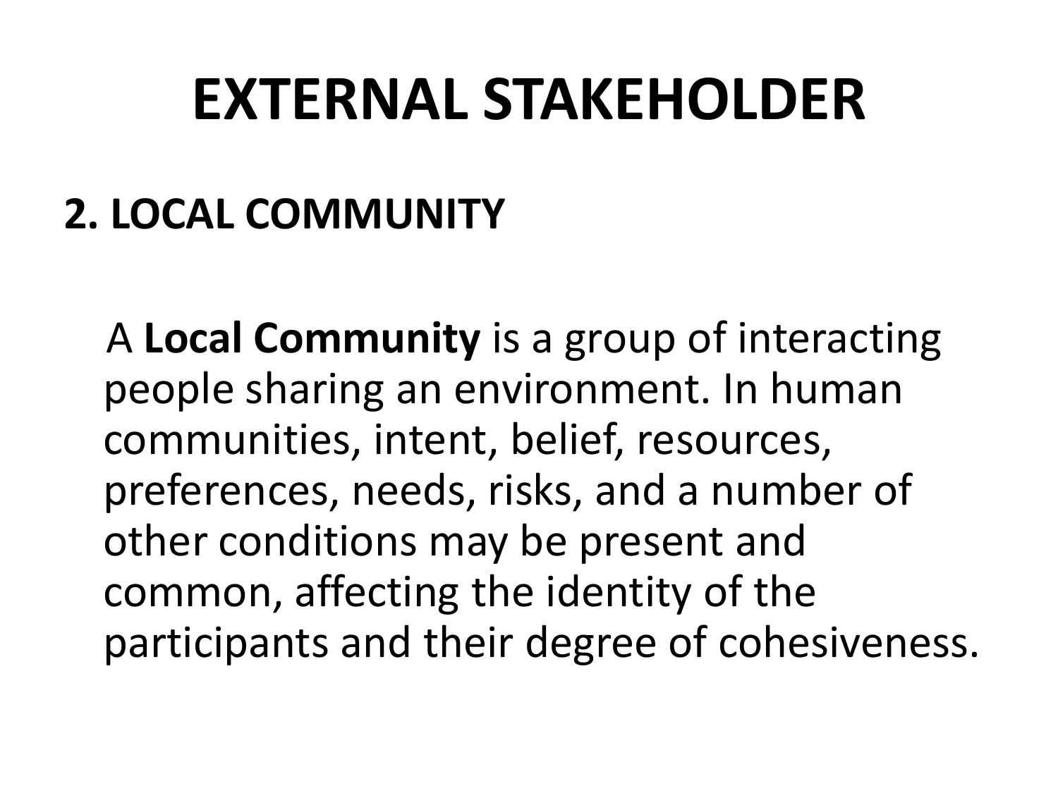### **EXTERNAL STAKEHOLDER**

### **2. LOCAL COMMUNITY**

A **Local Community** is a group of interacting people sharing an environment. In human communities, intent, belief, resources, preferences, needs, risks, and a number of other conditions may be present and common, affecting the identity of the participants and their degree of cohesiveness.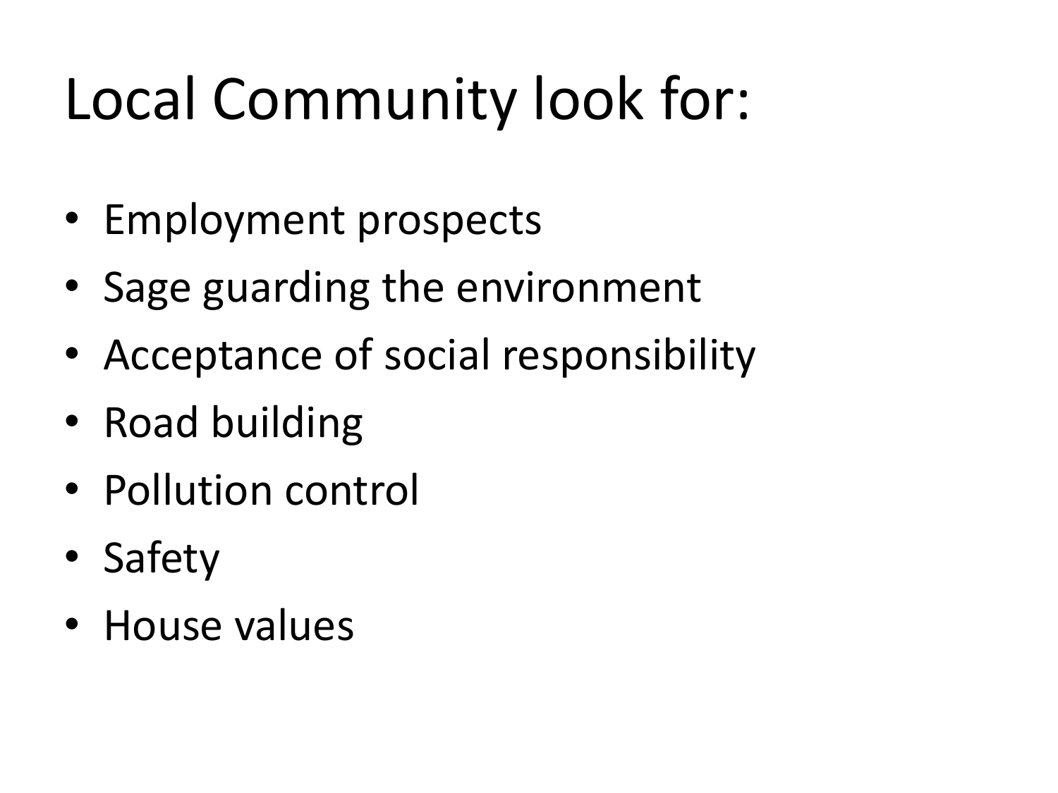## Local Community look for:

- Employment prospects
- Sage guarding the environment
- Acceptance of social responsibility
- Road building
- Pollution control
- Safety
- House values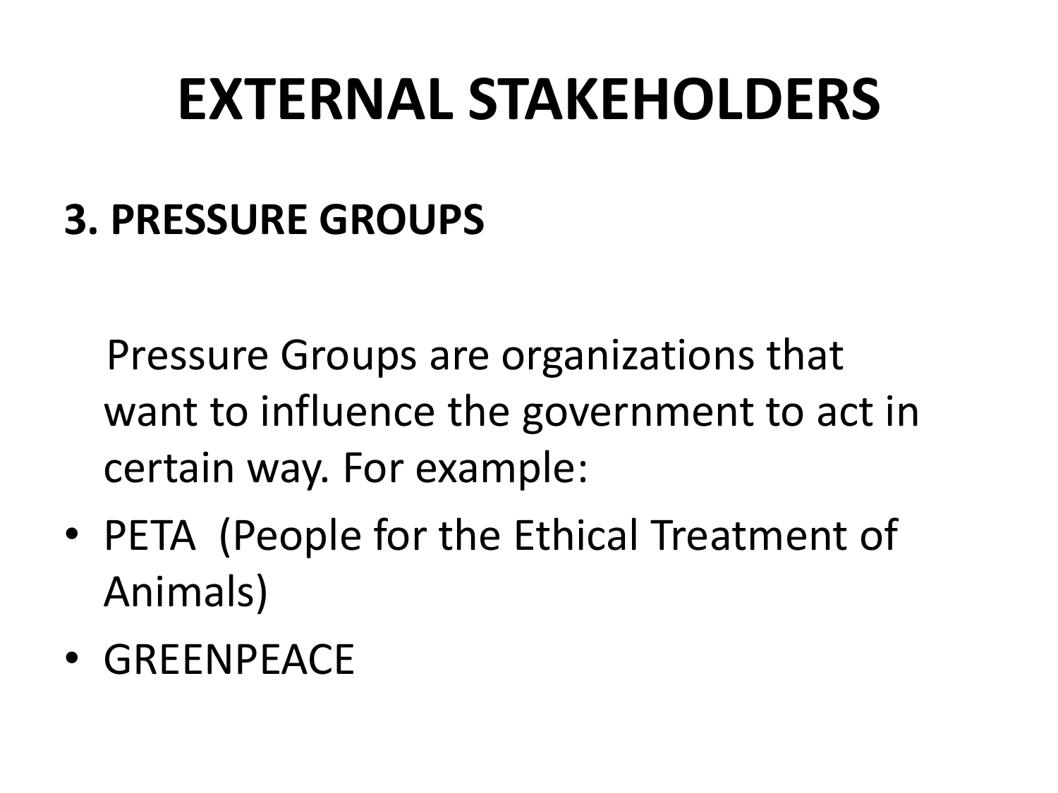### **EXTERNAL STAKEHOLDERS**

#### **3. PRESSURE GROUPS**

Pressure Groups are organizations that want to influence the government to act in certain way. For example:

- PETA (People for the Ethical Treatment of Animals)
- GREENPEACE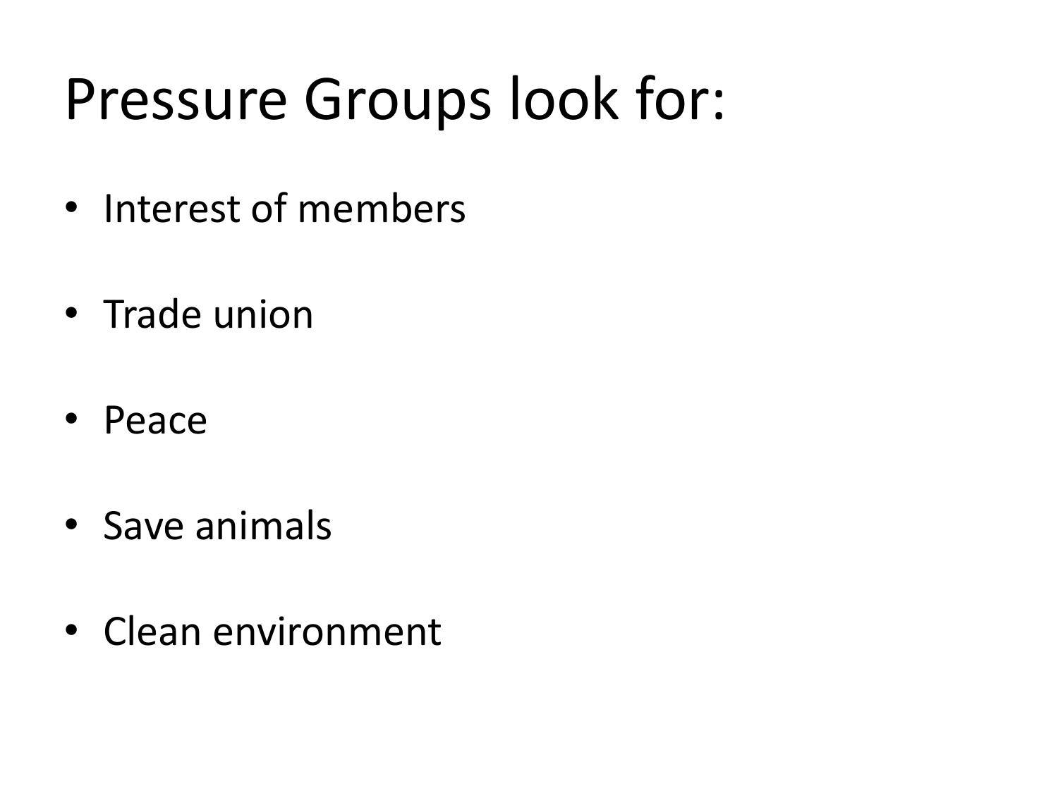## Pressure Groups look for:

- Interest of members
- Trade union
- Peace
- Save animals
- Clean environment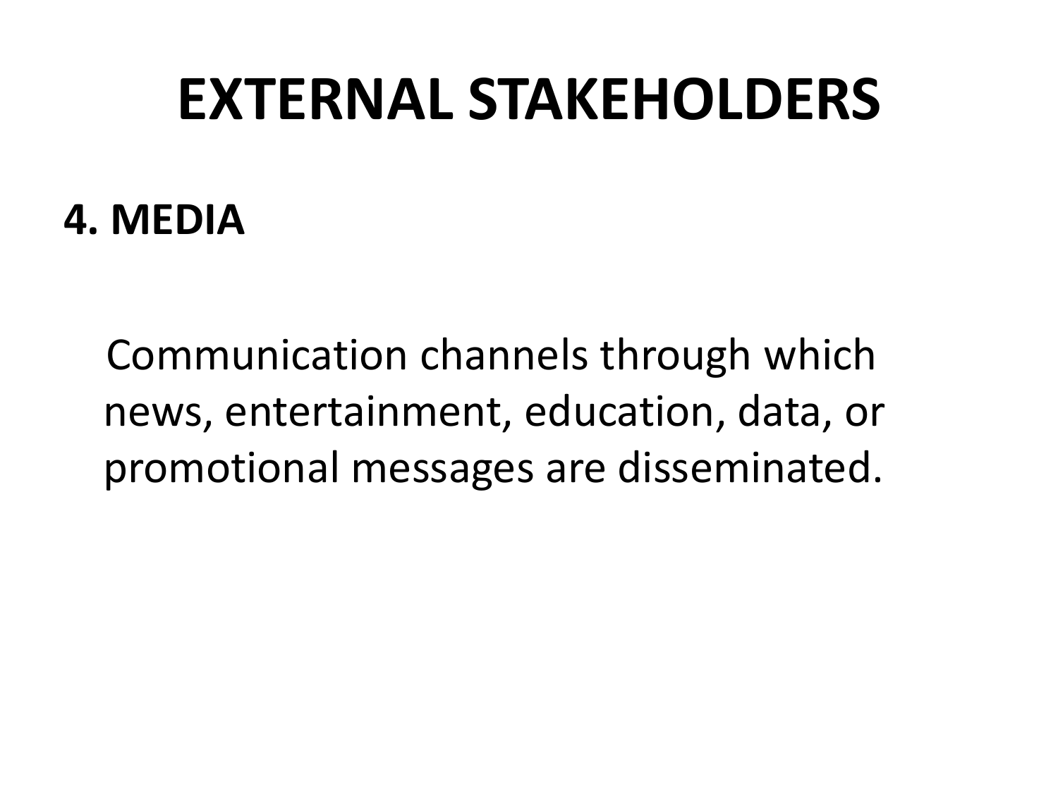### **EXTERNAL STAKEHOLDERS**

#### **4. MEDIA**

Communication channels through which news, entertainment, education, data, or promotional messages are disseminated.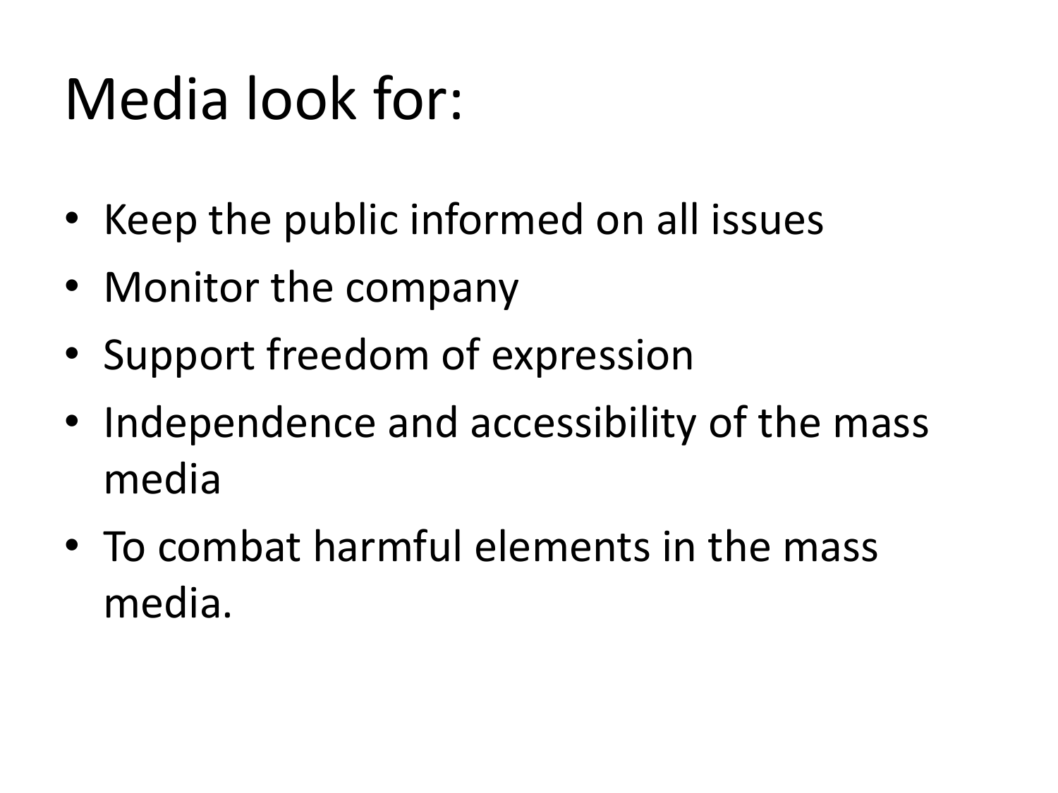## Media look for:

- Keep the public informed on all issues
- Monitor the company
- Support freedom of expression
- Independence and accessibility of the mass media
- To combat harmful elements in the mass media.